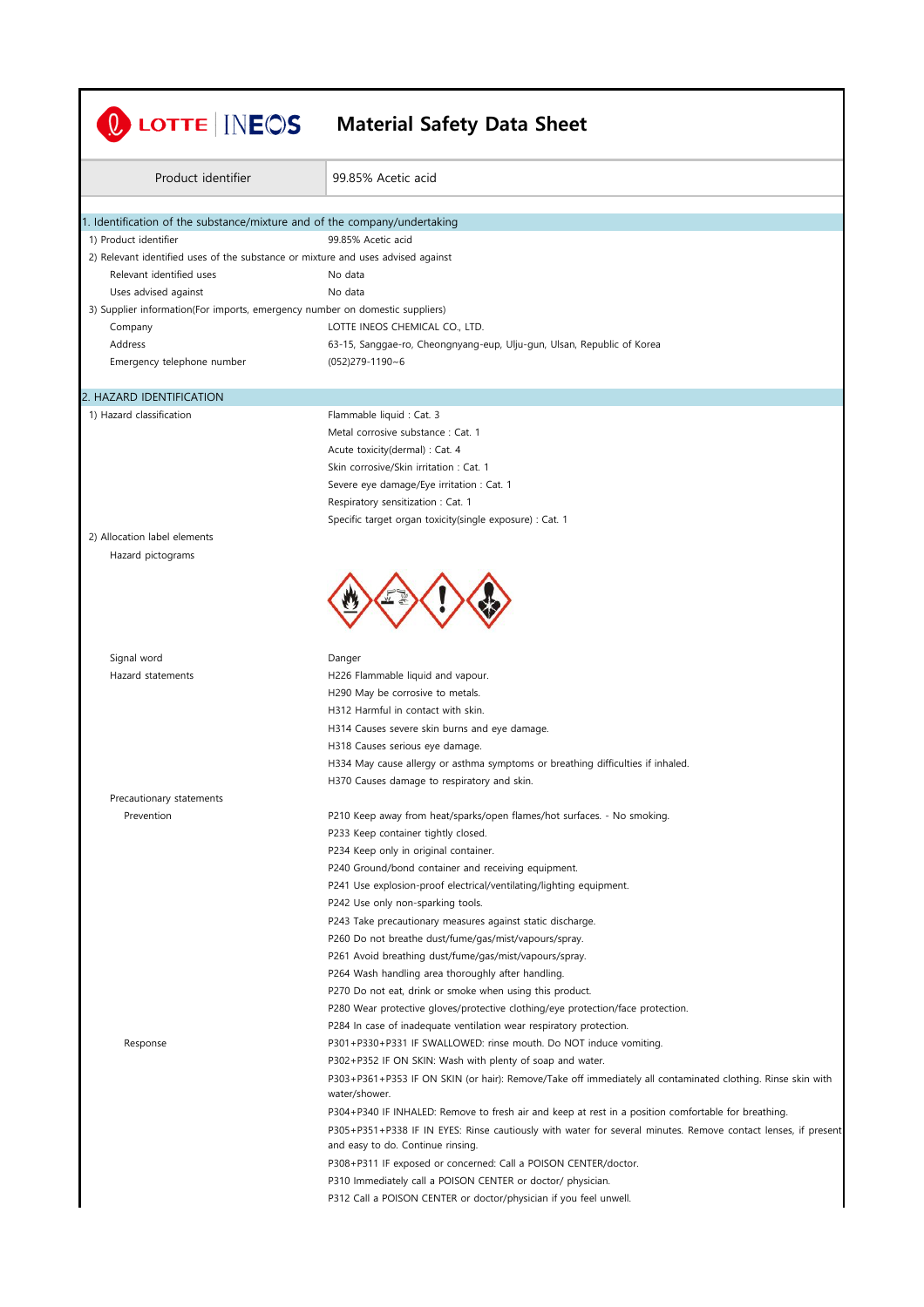| Product identifier                                                               | 99.85% Acetic acid                                                                                                                                                                        |
|----------------------------------------------------------------------------------|-------------------------------------------------------------------------------------------------------------------------------------------------------------------------------------------|
| 1. Identification of the substance/mixture and of the company/undertaking        |                                                                                                                                                                                           |
| 1) Product identifier                                                            | 99.85% Acetic acid                                                                                                                                                                        |
| 2) Relevant identified uses of the substance or mixture and uses advised against |                                                                                                                                                                                           |
| Relevant identified uses                                                         | No data                                                                                                                                                                                   |
| Uses advised against                                                             | No data                                                                                                                                                                                   |
| 3) Supplier information(For imports, emergency number on domestic suppliers)     |                                                                                                                                                                                           |
| Company                                                                          | LOTTE INEOS CHEMICAL CO., LTD.                                                                                                                                                            |
| Address                                                                          | 63-15, Sanggae-ro, Cheongnyang-eup, Ulju-gun, Ulsan, Republic of Korea                                                                                                                    |
| Emergency telephone number                                                       | $(052)$ 279-1190~6                                                                                                                                                                        |
| 2. HAZARD IDENTIFICATION                                                         |                                                                                                                                                                                           |
| 1) Hazard classification                                                         | Flammable liquid : Cat. 3                                                                                                                                                                 |
|                                                                                  | Metal corrosive substance : Cat. 1                                                                                                                                                        |
|                                                                                  | Acute toxicity(dermal) : Cat. 4                                                                                                                                                           |
|                                                                                  | Skin corrosive/Skin irritation: Cat. 1                                                                                                                                                    |
|                                                                                  | Severe eye damage/Eye irritation : Cat. 1                                                                                                                                                 |
|                                                                                  | Respiratory sensitization: Cat. 1                                                                                                                                                         |
|                                                                                  | Specific target organ toxicity(single exposure) : Cat. 1                                                                                                                                  |
| 2) Allocation label elements                                                     |                                                                                                                                                                                           |
| Signal word<br>Hazard statements                                                 | Danger<br>H226 Flammable liquid and vapour.<br>H290 May be corrosive to metals.<br>H312 Harmful in contact with skin.                                                                     |
|                                                                                  | H314 Causes severe skin burns and eye damage.                                                                                                                                             |
|                                                                                  | H318 Causes serious eye damage.                                                                                                                                                           |
|                                                                                  | H334 May cause allergy or asthma symptoms or breathing difficulties if inhaled.                                                                                                           |
|                                                                                  | H370 Causes damage to respiratory and skin.                                                                                                                                               |
| Precautionary statements<br>Prevention                                           | P210 Keep away from heat/sparks/open flames/hot surfaces. - No smoking.                                                                                                                   |
|                                                                                  | P233 Keep container tightly closed.                                                                                                                                                       |
|                                                                                  | P234 Keep only in original container.                                                                                                                                                     |
|                                                                                  | P240 Ground/bond container and receiving equipment.                                                                                                                                       |
|                                                                                  | P241 Use explosion-proof electrical/ventilating/lighting equipment.                                                                                                                       |
|                                                                                  | P242 Use only non-sparking tools.                                                                                                                                                         |
|                                                                                  | P243 Take precautionary measures against static discharge.                                                                                                                                |
|                                                                                  | P260 Do not breathe dust/fume/gas/mist/vapours/spray.                                                                                                                                     |
|                                                                                  | P261 Avoid breathing dust/fume/gas/mist/vapours/spray.                                                                                                                                    |
|                                                                                  | P264 Wash handling area thoroughly after handling.                                                                                                                                        |
|                                                                                  | P270 Do not eat, drink or smoke when using this product.                                                                                                                                  |
|                                                                                  | P280 Wear protective gloves/protective clothing/eye protection/face protection.                                                                                                           |
|                                                                                  | P284 In case of inadequate ventilation wear respiratory protection.                                                                                                                       |
| Response                                                                         | P301+P330+P331 IF SWALLOWED: rinse mouth. Do NOT induce vomiting.                                                                                                                         |
|                                                                                  | P302+P352 IF ON SKIN: Wash with plenty of soap and water.<br>P303+P361+P353 IF ON SKIN (or hair): Remove/Take off immediately all contaminated clothing. Rinse skin with<br>water/shower. |
|                                                                                  | P304+P340 IF INHALED: Remove to fresh air and keep at rest in a position comfortable for breathing.                                                                                       |
|                                                                                  | P305+P351+P338 IF IN EYES: Rinse cautiously with water for several minutes. Remove contact lenses, if present<br>and easy to do. Continue rinsing.                                        |
|                                                                                  |                                                                                                                                                                                           |
|                                                                                  | P308+P311 IF exposed or concerned: Call a POISON CENTER/doctor.                                                                                                                           |
|                                                                                  | P310 Immediately call a POISON CENTER or doctor/ physician.                                                                                                                               |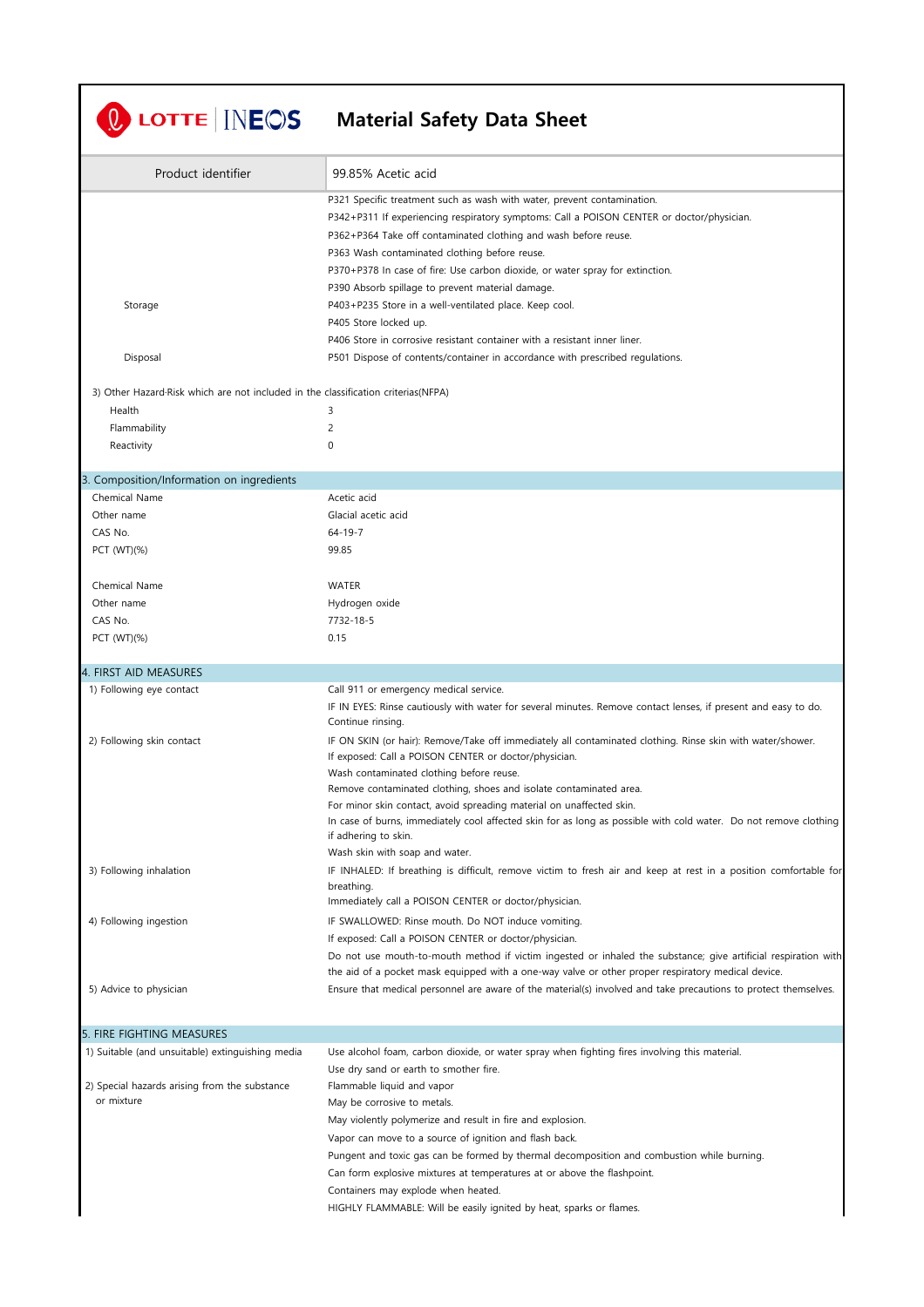| Product identifier                                                                 | 99.85% Acetic acid                                                                                                                                                                                                    |
|------------------------------------------------------------------------------------|-----------------------------------------------------------------------------------------------------------------------------------------------------------------------------------------------------------------------|
|                                                                                    | P321 Specific treatment such as wash with water, prevent contamination.<br>P342+P311 If experiencing respiratory symptoms: Call a POISON CENTER or doctor/physician.                                                  |
|                                                                                    | P362+P364 Take off contaminated clothing and wash before reuse.<br>P363 Wash contaminated clothing before reuse.                                                                                                      |
|                                                                                    | P370+P378 In case of fire: Use carbon dioxide, or water spray for extinction.<br>P390 Absorb spillage to prevent material damage.                                                                                     |
| Storage                                                                            | P403+P235 Store in a well-ventilated place. Keep cool.                                                                                                                                                                |
|                                                                                    | P405 Store locked up.                                                                                                                                                                                                 |
| Disposal                                                                           | P406 Store in corrosive resistant container with a resistant inner liner.<br>P501 Dispose of contents/container in accordance with prescribed regulations.                                                            |
| 3) Other Hazard Risk which are not included in the classification criterias (NFPA) |                                                                                                                                                                                                                       |
| Health                                                                             | 3                                                                                                                                                                                                                     |
| Flammability<br>Reactivity                                                         | 2<br>0                                                                                                                                                                                                                |
|                                                                                    |                                                                                                                                                                                                                       |
| 3. Composition/Information on ingredients                                          |                                                                                                                                                                                                                       |
| Chemical Name                                                                      | Acetic acid<br>Glacial acetic acid                                                                                                                                                                                    |
| Other name<br>CAS No.                                                              | $64 - 19 - 7$                                                                                                                                                                                                         |
| PCT (WT)(%)                                                                        | 99.85                                                                                                                                                                                                                 |
| Chemical Name                                                                      | WATER                                                                                                                                                                                                                 |
| Other name                                                                         | Hydrogen oxide                                                                                                                                                                                                        |
| CAS No.<br>PCT (WT)(%)                                                             | 7732-18-5<br>0.15                                                                                                                                                                                                     |
|                                                                                    |                                                                                                                                                                                                                       |
| 4. FIRST AID MEASURES                                                              |                                                                                                                                                                                                                       |
| 1) Following eye contact                                                           | Call 911 or emergency medical service.<br>IF IN EYES: Rinse cautiously with water for several minutes. Remove contact lenses, if present and easy to do.<br>Continue rinsing.                                         |
| 2) Following skin contact                                                          | IF ON SKIN (or hair): Remove/Take off immediately all contaminated clothing. Rinse skin with water/shower.<br>If exposed: Call a POISON CENTER or doctor/physician.<br>Wash contaminated clothing before reuse.       |
|                                                                                    | Remove contaminated clothing, shoes and isolate contaminated area.                                                                                                                                                    |
|                                                                                    | For minor skin contact, avoid spreading material on unaffected skin.<br>In case of burns, immediately cool affected skin for as long as possible with cold water. Do not remove clothing                              |
|                                                                                    | if adhering to skin.                                                                                                                                                                                                  |
| 3) Following inhalation                                                            | Wash skin with soap and water.<br>IF INHALED: If breathing is difficult, remove victim to fresh air and keep at rest in a position comfortable for                                                                    |
|                                                                                    | breathing.                                                                                                                                                                                                            |
|                                                                                    | Immediately call a POISON CENTER or doctor/physician.                                                                                                                                                                 |
| 4) Following ingestion                                                             | IF SWALLOWED: Rinse mouth. Do NOT induce vomiting.<br>If exposed: Call a POISON CENTER or doctor/physician.                                                                                                           |
|                                                                                    | Do not use mouth-to-mouth method if victim ingested or inhaled the substance; give artificial respiration with                                                                                                        |
| 5) Advice to physician                                                             | the aid of a pocket mask equipped with a one-way valve or other proper respiratory medical device.<br>Ensure that medical personnel are aware of the material(s) involved and take precautions to protect themselves. |
|                                                                                    |                                                                                                                                                                                                                       |
| 5. FIRE FIGHTING MEASURES                                                          |                                                                                                                                                                                                                       |
| 1) Suitable (and unsuitable) extinguishing media                                   | Use alcohol foam, carbon dioxide, or water spray when fighting fires involving this material.                                                                                                                         |
|                                                                                    | Use dry sand or earth to smother fire.<br>Flammable liquid and vapor                                                                                                                                                  |
|                                                                                    |                                                                                                                                                                                                                       |
| 2) Special hazards arising from the substance<br>or mixture                        | May be corrosive to metals.                                                                                                                                                                                           |
|                                                                                    | May violently polymerize and result in fire and explosion.                                                                                                                                                            |
|                                                                                    | Vapor can move to a source of ignition and flash back.                                                                                                                                                                |
|                                                                                    | Pungent and toxic gas can be formed by thermal decomposition and combustion while burning.<br>Can form explosive mixtures at temperatures at or above the flashpoint.                                                 |
|                                                                                    | Containers may explode when heated.                                                                                                                                                                                   |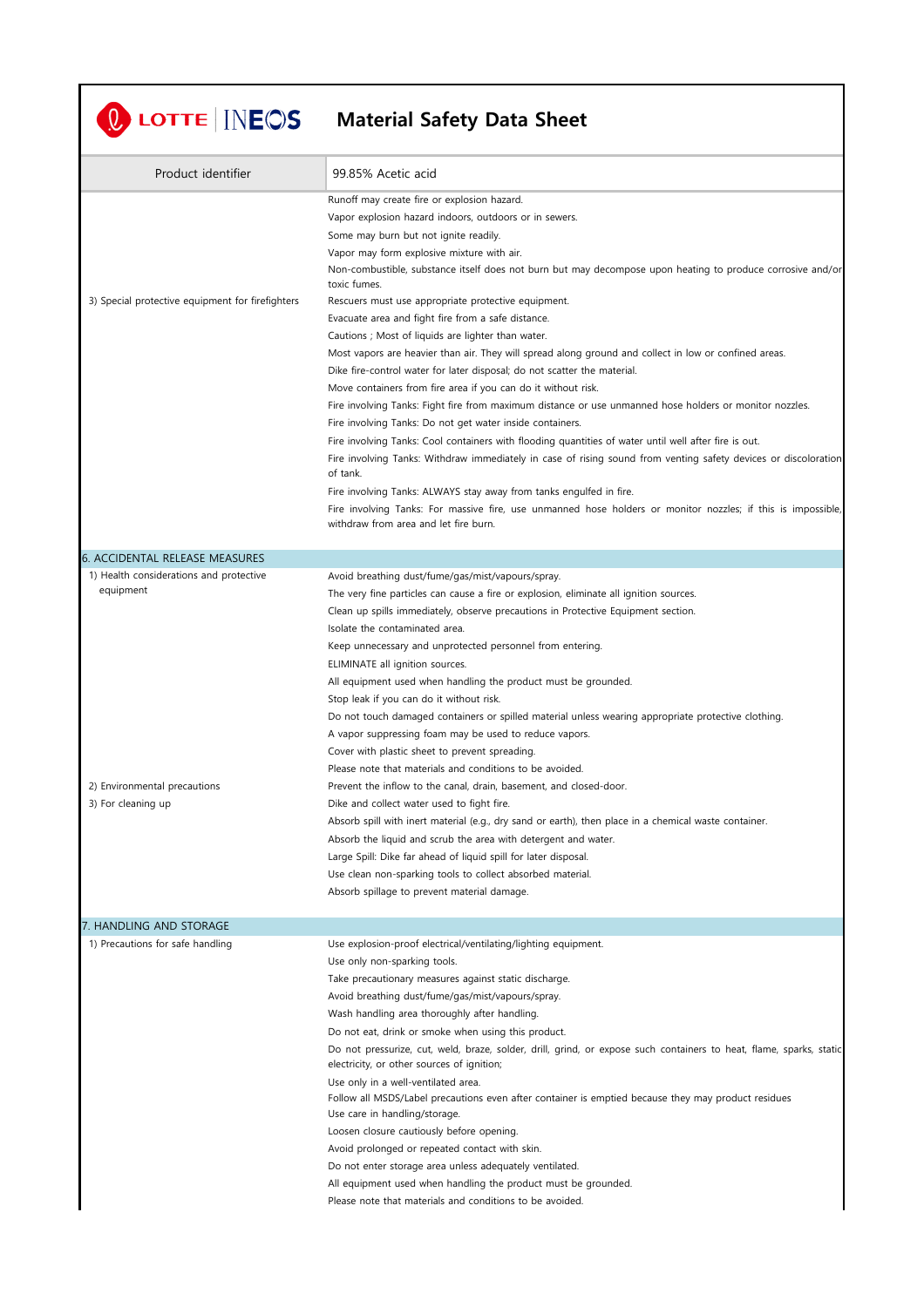## **Material Safety Data Sheet**

| Product identifier                               | 99.85% Acetic acid                                                                                                                                                |
|--------------------------------------------------|-------------------------------------------------------------------------------------------------------------------------------------------------------------------|
|                                                  | Runoff may create fire or explosion hazard.                                                                                                                       |
|                                                  | Vapor explosion hazard indoors, outdoors or in sewers.                                                                                                            |
|                                                  | Some may burn but not ignite readily.                                                                                                                             |
|                                                  | Vapor may form explosive mixture with air.                                                                                                                        |
|                                                  | Non-combustible, substance itself does not burn but may decompose upon heating to produce corrosive and/or<br>toxic fumes.                                        |
| 3) Special protective equipment for firefighters | Rescuers must use appropriate protective equipment.                                                                                                               |
|                                                  | Evacuate area and fight fire from a safe distance.                                                                                                                |
|                                                  | Cautions ; Most of liquids are lighter than water.                                                                                                                |
|                                                  | Most vapors are heavier than air. They will spread along ground and collect in low or confined areas.                                                             |
|                                                  | Dike fire-control water for later disposal; do not scatter the material.                                                                                          |
|                                                  | Move containers from fire area if you can do it without risk.                                                                                                     |
|                                                  | Fire involving Tanks: Fight fire from maximum distance or use unmanned hose holders or monitor nozzles.                                                           |
|                                                  | Fire involving Tanks: Do not get water inside containers.                                                                                                         |
|                                                  | Fire involving Tanks: Cool containers with flooding quantities of water until well after fire is out.                                                             |
|                                                  | Fire involving Tanks: Withdraw immediately in case of rising sound from venting safety devices or discoloration<br>of tank.                                       |
|                                                  | Fire involving Tanks: ALWAYS stay away from tanks engulfed in fire.                                                                                               |
|                                                  | Fire involving Tanks: For massive fire, use unmanned hose holders or monitor nozzles; if this is impossible,<br>withdraw from area and let fire burn.             |
|                                                  |                                                                                                                                                                   |
| 6. ACCIDENTAL RELEASE MEASURES                   |                                                                                                                                                                   |
| 1) Health considerations and protective          | Avoid breathing dust/fume/gas/mist/vapours/spray.                                                                                                                 |
| equipment                                        | The very fine particles can cause a fire or explosion, eliminate all ignition sources.                                                                            |
|                                                  | Clean up spills immediately, observe precautions in Protective Equipment section.                                                                                 |
|                                                  | Isolate the contaminated area.                                                                                                                                    |
|                                                  | Keep unnecessary and unprotected personnel from entering.                                                                                                         |
|                                                  | ELIMINATE all ignition sources.                                                                                                                                   |
|                                                  | All equipment used when handling the product must be grounded.<br>Stop leak if you can do it without risk.                                                        |
|                                                  | Do not touch damaged containers or spilled material unless wearing appropriate protective clothing.                                                               |
|                                                  | A vapor suppressing foam may be used to reduce vapors.                                                                                                            |
|                                                  | Cover with plastic sheet to prevent spreading.                                                                                                                    |
|                                                  | Please note that materials and conditions to be avoided.                                                                                                          |
| 2) Environmental precautions                     | Prevent the inflow to the canal, drain, basement, and closed-door.                                                                                                |
| 3) For cleaning up                               | Dike and collect water used to fight fire.                                                                                                                        |
|                                                  | Absorb spill with inert material (e.g., dry sand or earth), then place in a chemical waste container.                                                             |
|                                                  | Absorb the liquid and scrub the area with detergent and water.                                                                                                    |
|                                                  | Large Spill: Dike far ahead of liquid spill for later disposal.                                                                                                   |
|                                                  | Use clean non-sparking tools to collect absorbed material.                                                                                                        |
|                                                  | Absorb spillage to prevent material damage.                                                                                                                       |
| 7. HANDLING AND STORAGE                          |                                                                                                                                                                   |
| 1) Precautions for safe handling                 | Use explosion-proof electrical/ventilating/lighting equipment.                                                                                                    |
|                                                  | Use only non-sparking tools.                                                                                                                                      |
|                                                  | Take precautionary measures against static discharge.                                                                                                             |
|                                                  | Avoid breathing dust/fume/gas/mist/vapours/spray.                                                                                                                 |
|                                                  | Wash handling area thoroughly after handling.                                                                                                                     |
|                                                  | Do not eat, drink or smoke when using this product.                                                                                                               |
|                                                  | Do not pressurize, cut, weld, braze, solder, drill, grind, or expose such containers to heat, flame, sparks, static<br>electricity, or other sources of ignition; |
|                                                  | Use only in a well-ventilated area.                                                                                                                               |
|                                                  | Follow all MSDS/Label precautions even after container is emptied because they may product residues                                                               |
|                                                  | Use care in handling/storage.<br>Loosen closure cautiously before opening.                                                                                        |
|                                                  | Avoid prolonged or repeated contact with skin.                                                                                                                    |
|                                                  | Do not enter storage area unless adequately ventilated.                                                                                                           |
|                                                  | All equipment used when handling the product must be grounded.                                                                                                    |
|                                                  | Please note that materials and conditions to be avoided.                                                                                                          |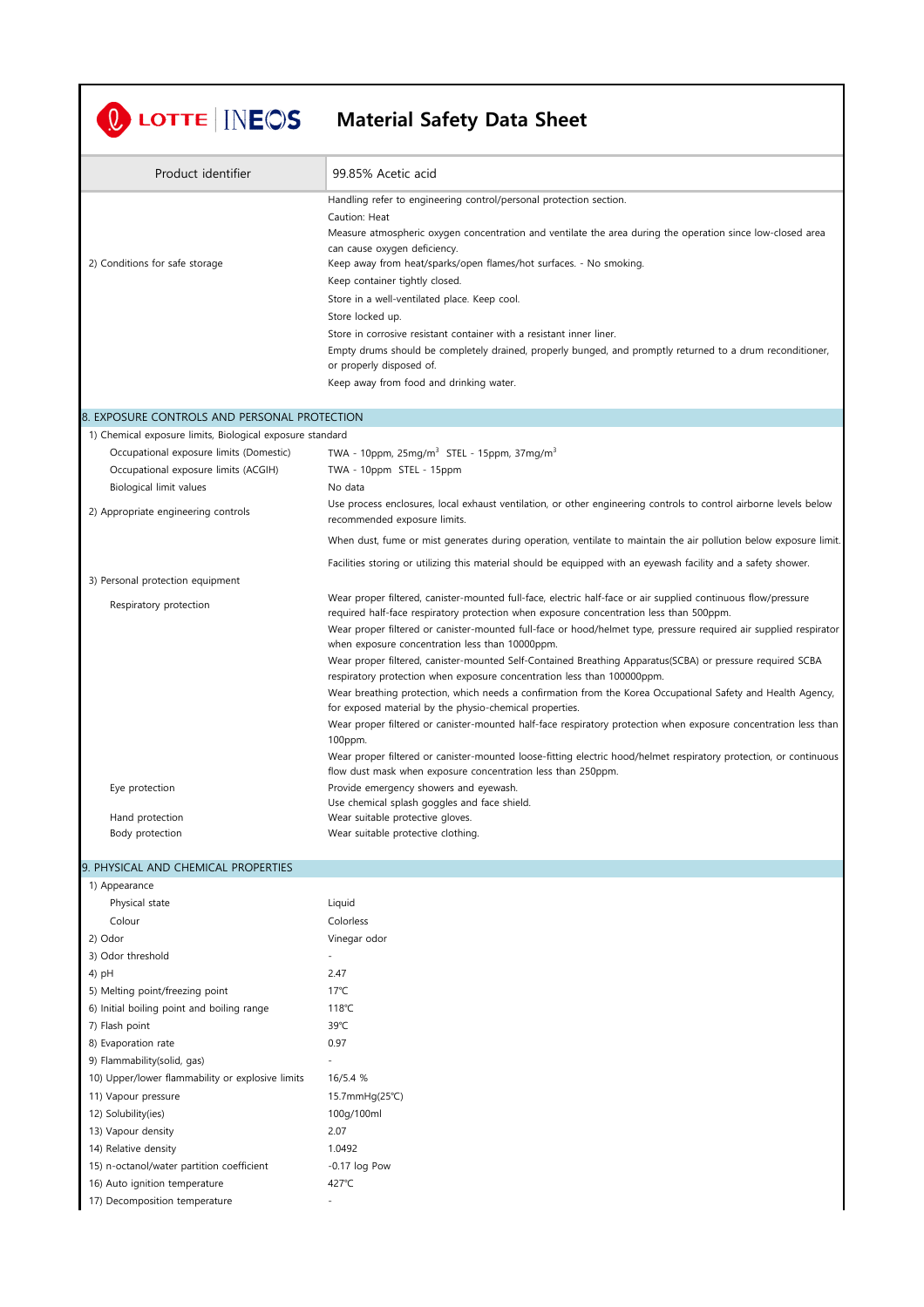## **Material Safety Data Sheet**

| Product identifier                                        | 99.85% Acetic acid                                                                                                                                                                   |
|-----------------------------------------------------------|--------------------------------------------------------------------------------------------------------------------------------------------------------------------------------------|
|                                                           | Handling refer to engineering control/personal protection section.                                                                                                                   |
|                                                           | Caution: Heat                                                                                                                                                                        |
|                                                           | Measure atmospheric oxygen concentration and ventilate the area during the operation since low-closed area                                                                           |
|                                                           | can cause oxygen deficiency.                                                                                                                                                         |
| 2) Conditions for safe storage                            | Keep away from heat/sparks/open flames/hot surfaces. - No smoking.                                                                                                                   |
|                                                           | Keep container tightly closed.                                                                                                                                                       |
|                                                           | Store in a well-ventilated place. Keep cool.                                                                                                                                         |
|                                                           | Store locked up.                                                                                                                                                                     |
|                                                           | Store in corrosive resistant container with a resistant inner liner.                                                                                                                 |
|                                                           | Empty drums should be completely drained, properly bunged, and promptly returned to a drum reconditioner,<br>or properly disposed of.                                                |
|                                                           | Keep away from food and drinking water.                                                                                                                                              |
|                                                           |                                                                                                                                                                                      |
| 8. EXPOSURE CONTROLS AND PERSONAL PROTECTION              |                                                                                                                                                                                      |
| 1) Chemical exposure limits, Biological exposure standard |                                                                                                                                                                                      |
| Occupational exposure limits (Domestic)                   | TWA - 10ppm, $25mg/m^3$ STEL - 15ppm, 37mg/m <sup>3</sup>                                                                                                                            |
| Occupational exposure limits (ACGIH)                      | TWA - 10ppm STEL - 15ppm                                                                                                                                                             |
| Biological limit values                                   | No data                                                                                                                                                                              |
| 2) Appropriate engineering controls                       | Use process enclosures, local exhaust ventilation, or other engineering controls to control airborne levels below<br>recommended exposure limits.                                    |
|                                                           | When dust, fume or mist generates during operation, ventilate to maintain the air pollution below exposure limit.                                                                    |
|                                                           | Facilities storing or utilizing this material should be equipped with an eyewash facility and a safety shower.                                                                       |
| 3) Personal protection equipment                          |                                                                                                                                                                                      |
|                                                           | Wear proper filtered, canister-mounted full-face, electric half-face or air supplied continuous flow/pressure                                                                        |
| Respiratory protection                                    | required half-face respiratory protection when exposure concentration less than 500ppm.                                                                                              |
|                                                           | Wear proper filtered or canister-mounted full-face or hood/helmet type, pressure required air supplied respirator<br>when exposure concentration less than 10000ppm.                 |
|                                                           | Wear proper filtered, canister-mounted Self-Contained Breathing Apparatus(SCBA) or pressure required SCBA<br>respiratory protection when exposure concentration less than 100000ppm. |
|                                                           | Wear breathing protection, which needs a confirmation from the Korea Occupational Safety and Health Agency,                                                                          |
|                                                           | for exposed material by the physio-chemical properties.                                                                                                                              |
|                                                           | Wear proper filtered or canister-mounted half-face respiratory protection when exposure concentration less than                                                                      |
|                                                           | 100ppm.                                                                                                                                                                              |
|                                                           | Wear proper filtered or canister-mounted loose-fitting electric hood/helmet respiratory protection, or continuous                                                                    |
|                                                           | flow dust mask when exposure concentration less than 250ppm.                                                                                                                         |
| Eye protection                                            | Provide emergency showers and eyewash.                                                                                                                                               |
|                                                           | Use chemical splash goggles and face shield.                                                                                                                                         |
| Hand protection                                           | Wear suitable protective gloves.                                                                                                                                                     |
| Body protection                                           | Wear suitable protective clothing.                                                                                                                                                   |

## 9. PHYSICAL AND CHEMICAL PROPERTIES

| 1) Appearance                                    |                 |
|--------------------------------------------------|-----------------|
| Physical state                                   | Liquid          |
| Colour                                           | Colorless       |
| 2) Odor                                          | Vinegar odor    |
| 3) Odor threshold                                |                 |
| 4) pH                                            | 2.47            |
| 5) Melting point/freezing point                  | $17^{\circ}$ C  |
| 6) Initial boiling point and boiling range       | 118°C           |
| 7) Flash point                                   | 39°C            |
| 8) Evaporation rate                              | 0.97            |
| 9) Flammability(solid, gas)                      |                 |
| 10) Upper/lower flammability or explosive limits | 16/5.4 %        |
| 11) Vapour pressure                              | 15.7mmHg(25℃)   |
| 12) Solubility(ies)                              | 100g/100ml      |
| 13) Vapour density                               | 2.07            |
| 14) Relative density                             | 1.0492          |
| 15) n-octanol/water partition coefficient        | $-0.17$ log Pow |
| 16) Auto ignition temperature                    | 427°C           |
| 17) Decomposition temperature                    |                 |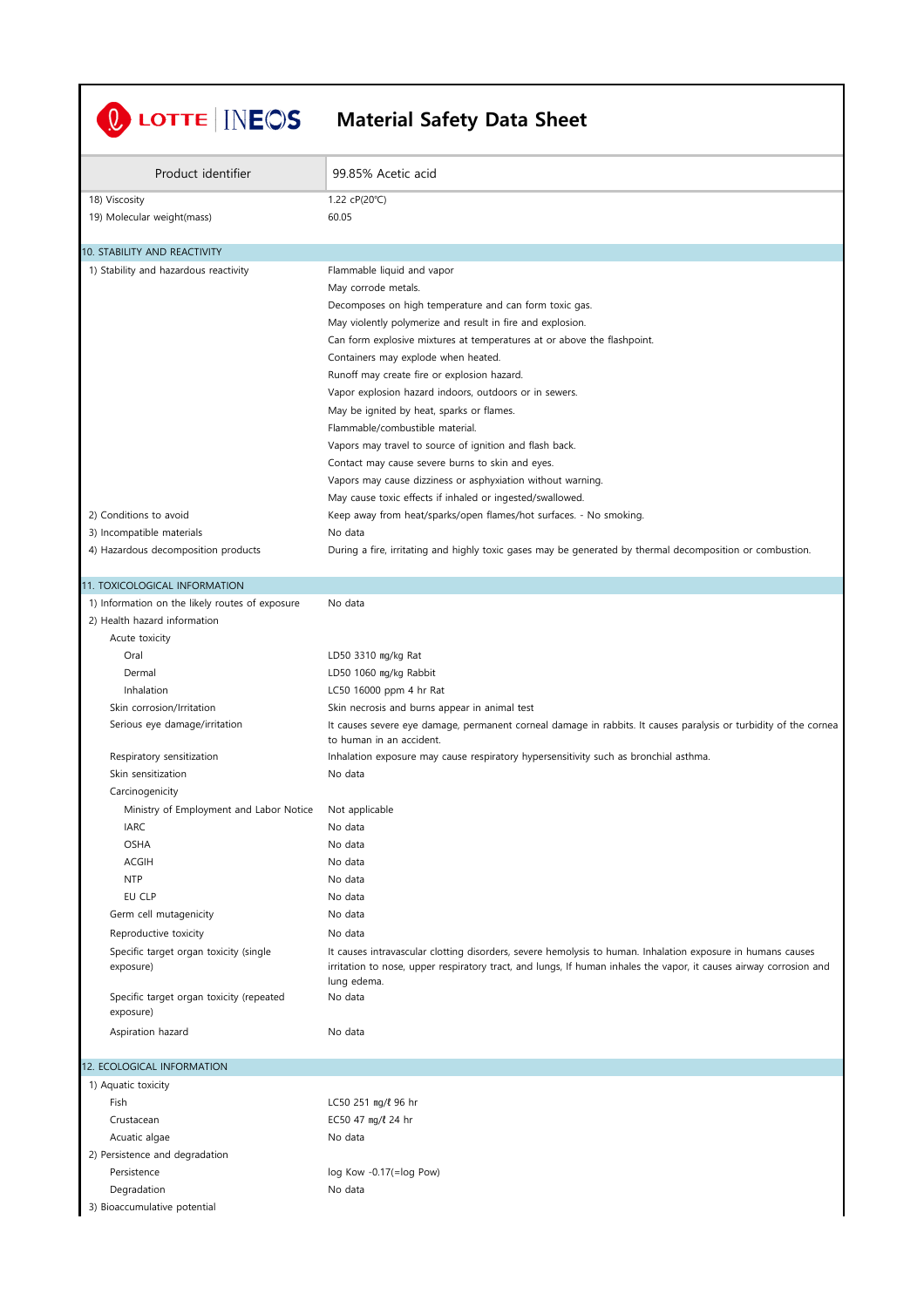| Product identifier<br>99.85% Acetic acid<br>18) Viscosity<br>1.22 cP(20°C)<br>19) Molecular weight(mass)<br>60.05<br>10. STABILITY AND REACTIVITY<br>1) Stability and hazardous reactivity<br>Flammable liquid and vapor<br>May corrode metals.<br>Decomposes on high temperature and can form toxic gas.<br>May violently polymerize and result in fire and explosion.<br>Can form explosive mixtures at temperatures at or above the flashpoint.<br>Containers may explode when heated.<br>Runoff may create fire or explosion hazard.<br>Vapor explosion hazard indoors, outdoors or in sewers.<br>May be ignited by heat, sparks or flames.<br>Flammable/combustible material.<br>Vapors may travel to source of ignition and flash back.<br>Contact may cause severe burns to skin and eyes.<br>Vapors may cause dizziness or asphyxiation without warning.<br>May cause toxic effects if inhaled or ingested/swallowed.<br>2) Conditions to avoid<br>Keep away from heat/sparks/open flames/hot surfaces. - No smoking.<br>3) Incompatible materials<br>No data<br>4) Hazardous decomposition products<br>During a fire, irritating and highly toxic gases may be generated by thermal decomposition or combustion.<br>11. TOXICOLOGICAL INFORMATION<br>1) Information on the likely routes of exposure<br>No data<br>2) Health hazard information<br>Acute toxicity<br>Oral<br>LD50 3310 mg/kg Rat<br>LD50 1060 mg/kg Rabbit<br>Dermal<br>LC50 16000 ppm 4 hr Rat<br>Inhalation<br>Skin corrosion/Irritation<br>Skin necrosis and burns appear in animal test<br>Serious eye damage/irritation<br>It causes severe eye damage, permanent corneal damage in rabbits. It causes paralysis or turbidity of the cornea<br>to human in an accident.<br>Respiratory sensitization<br>Inhalation exposure may cause respiratory hypersensitivity such as bronchial asthma.<br>Skin sensitization<br>No data<br>Carcinogenicity<br>Ministry of Employment and Labor Notice<br>Not applicable<br><b>IARC</b><br>No data<br><b>OSHA</b><br>No data | <b>U</b> LOTTE INECS<br><b>Material Safety Data Sheet</b> |  |
|-------------------------------------------------------------------------------------------------------------------------------------------------------------------------------------------------------------------------------------------------------------------------------------------------------------------------------------------------------------------------------------------------------------------------------------------------------------------------------------------------------------------------------------------------------------------------------------------------------------------------------------------------------------------------------------------------------------------------------------------------------------------------------------------------------------------------------------------------------------------------------------------------------------------------------------------------------------------------------------------------------------------------------------------------------------------------------------------------------------------------------------------------------------------------------------------------------------------------------------------------------------------------------------------------------------------------------------------------------------------------------------------------------------------------------------------------------------------------------------------------------------------------------------------------------------------------------------------------------------------------------------------------------------------------------------------------------------------------------------------------------------------------------------------------------------------------------------------------------------------------------------------------------------------------------------------------------------------------------------------------------------------------------------------------|-----------------------------------------------------------|--|
|                                                                                                                                                                                                                                                                                                                                                                                                                                                                                                                                                                                                                                                                                                                                                                                                                                                                                                                                                                                                                                                                                                                                                                                                                                                                                                                                                                                                                                                                                                                                                                                                                                                                                                                                                                                                                                                                                                                                                                                                                                                 |                                                           |  |
|                                                                                                                                                                                                                                                                                                                                                                                                                                                                                                                                                                                                                                                                                                                                                                                                                                                                                                                                                                                                                                                                                                                                                                                                                                                                                                                                                                                                                                                                                                                                                                                                                                                                                                                                                                                                                                                                                                                                                                                                                                                 |                                                           |  |
|                                                                                                                                                                                                                                                                                                                                                                                                                                                                                                                                                                                                                                                                                                                                                                                                                                                                                                                                                                                                                                                                                                                                                                                                                                                                                                                                                                                                                                                                                                                                                                                                                                                                                                                                                                                                                                                                                                                                                                                                                                                 |                                                           |  |
|                                                                                                                                                                                                                                                                                                                                                                                                                                                                                                                                                                                                                                                                                                                                                                                                                                                                                                                                                                                                                                                                                                                                                                                                                                                                                                                                                                                                                                                                                                                                                                                                                                                                                                                                                                                                                                                                                                                                                                                                                                                 |                                                           |  |
|                                                                                                                                                                                                                                                                                                                                                                                                                                                                                                                                                                                                                                                                                                                                                                                                                                                                                                                                                                                                                                                                                                                                                                                                                                                                                                                                                                                                                                                                                                                                                                                                                                                                                                                                                                                                                                                                                                                                                                                                                                                 |                                                           |  |
|                                                                                                                                                                                                                                                                                                                                                                                                                                                                                                                                                                                                                                                                                                                                                                                                                                                                                                                                                                                                                                                                                                                                                                                                                                                                                                                                                                                                                                                                                                                                                                                                                                                                                                                                                                                                                                                                                                                                                                                                                                                 |                                                           |  |
|                                                                                                                                                                                                                                                                                                                                                                                                                                                                                                                                                                                                                                                                                                                                                                                                                                                                                                                                                                                                                                                                                                                                                                                                                                                                                                                                                                                                                                                                                                                                                                                                                                                                                                                                                                                                                                                                                                                                                                                                                                                 |                                                           |  |
|                                                                                                                                                                                                                                                                                                                                                                                                                                                                                                                                                                                                                                                                                                                                                                                                                                                                                                                                                                                                                                                                                                                                                                                                                                                                                                                                                                                                                                                                                                                                                                                                                                                                                                                                                                                                                                                                                                                                                                                                                                                 |                                                           |  |
|                                                                                                                                                                                                                                                                                                                                                                                                                                                                                                                                                                                                                                                                                                                                                                                                                                                                                                                                                                                                                                                                                                                                                                                                                                                                                                                                                                                                                                                                                                                                                                                                                                                                                                                                                                                                                                                                                                                                                                                                                                                 |                                                           |  |
|                                                                                                                                                                                                                                                                                                                                                                                                                                                                                                                                                                                                                                                                                                                                                                                                                                                                                                                                                                                                                                                                                                                                                                                                                                                                                                                                                                                                                                                                                                                                                                                                                                                                                                                                                                                                                                                                                                                                                                                                                                                 |                                                           |  |
|                                                                                                                                                                                                                                                                                                                                                                                                                                                                                                                                                                                                                                                                                                                                                                                                                                                                                                                                                                                                                                                                                                                                                                                                                                                                                                                                                                                                                                                                                                                                                                                                                                                                                                                                                                                                                                                                                                                                                                                                                                                 |                                                           |  |
|                                                                                                                                                                                                                                                                                                                                                                                                                                                                                                                                                                                                                                                                                                                                                                                                                                                                                                                                                                                                                                                                                                                                                                                                                                                                                                                                                                                                                                                                                                                                                                                                                                                                                                                                                                                                                                                                                                                                                                                                                                                 |                                                           |  |
|                                                                                                                                                                                                                                                                                                                                                                                                                                                                                                                                                                                                                                                                                                                                                                                                                                                                                                                                                                                                                                                                                                                                                                                                                                                                                                                                                                                                                                                                                                                                                                                                                                                                                                                                                                                                                                                                                                                                                                                                                                                 |                                                           |  |
|                                                                                                                                                                                                                                                                                                                                                                                                                                                                                                                                                                                                                                                                                                                                                                                                                                                                                                                                                                                                                                                                                                                                                                                                                                                                                                                                                                                                                                                                                                                                                                                                                                                                                                                                                                                                                                                                                                                                                                                                                                                 |                                                           |  |
|                                                                                                                                                                                                                                                                                                                                                                                                                                                                                                                                                                                                                                                                                                                                                                                                                                                                                                                                                                                                                                                                                                                                                                                                                                                                                                                                                                                                                                                                                                                                                                                                                                                                                                                                                                                                                                                                                                                                                                                                                                                 |                                                           |  |
|                                                                                                                                                                                                                                                                                                                                                                                                                                                                                                                                                                                                                                                                                                                                                                                                                                                                                                                                                                                                                                                                                                                                                                                                                                                                                                                                                                                                                                                                                                                                                                                                                                                                                                                                                                                                                                                                                                                                                                                                                                                 |                                                           |  |
|                                                                                                                                                                                                                                                                                                                                                                                                                                                                                                                                                                                                                                                                                                                                                                                                                                                                                                                                                                                                                                                                                                                                                                                                                                                                                                                                                                                                                                                                                                                                                                                                                                                                                                                                                                                                                                                                                                                                                                                                                                                 |                                                           |  |
|                                                                                                                                                                                                                                                                                                                                                                                                                                                                                                                                                                                                                                                                                                                                                                                                                                                                                                                                                                                                                                                                                                                                                                                                                                                                                                                                                                                                                                                                                                                                                                                                                                                                                                                                                                                                                                                                                                                                                                                                                                                 |                                                           |  |
|                                                                                                                                                                                                                                                                                                                                                                                                                                                                                                                                                                                                                                                                                                                                                                                                                                                                                                                                                                                                                                                                                                                                                                                                                                                                                                                                                                                                                                                                                                                                                                                                                                                                                                                                                                                                                                                                                                                                                                                                                                                 |                                                           |  |
|                                                                                                                                                                                                                                                                                                                                                                                                                                                                                                                                                                                                                                                                                                                                                                                                                                                                                                                                                                                                                                                                                                                                                                                                                                                                                                                                                                                                                                                                                                                                                                                                                                                                                                                                                                                                                                                                                                                                                                                                                                                 |                                                           |  |
|                                                                                                                                                                                                                                                                                                                                                                                                                                                                                                                                                                                                                                                                                                                                                                                                                                                                                                                                                                                                                                                                                                                                                                                                                                                                                                                                                                                                                                                                                                                                                                                                                                                                                                                                                                                                                                                                                                                                                                                                                                                 |                                                           |  |
|                                                                                                                                                                                                                                                                                                                                                                                                                                                                                                                                                                                                                                                                                                                                                                                                                                                                                                                                                                                                                                                                                                                                                                                                                                                                                                                                                                                                                                                                                                                                                                                                                                                                                                                                                                                                                                                                                                                                                                                                                                                 |                                                           |  |
|                                                                                                                                                                                                                                                                                                                                                                                                                                                                                                                                                                                                                                                                                                                                                                                                                                                                                                                                                                                                                                                                                                                                                                                                                                                                                                                                                                                                                                                                                                                                                                                                                                                                                                                                                                                                                                                                                                                                                                                                                                                 |                                                           |  |
|                                                                                                                                                                                                                                                                                                                                                                                                                                                                                                                                                                                                                                                                                                                                                                                                                                                                                                                                                                                                                                                                                                                                                                                                                                                                                                                                                                                                                                                                                                                                                                                                                                                                                                                                                                                                                                                                                                                                                                                                                                                 |                                                           |  |
|                                                                                                                                                                                                                                                                                                                                                                                                                                                                                                                                                                                                                                                                                                                                                                                                                                                                                                                                                                                                                                                                                                                                                                                                                                                                                                                                                                                                                                                                                                                                                                                                                                                                                                                                                                                                                                                                                                                                                                                                                                                 |                                                           |  |
|                                                                                                                                                                                                                                                                                                                                                                                                                                                                                                                                                                                                                                                                                                                                                                                                                                                                                                                                                                                                                                                                                                                                                                                                                                                                                                                                                                                                                                                                                                                                                                                                                                                                                                                                                                                                                                                                                                                                                                                                                                                 |                                                           |  |
|                                                                                                                                                                                                                                                                                                                                                                                                                                                                                                                                                                                                                                                                                                                                                                                                                                                                                                                                                                                                                                                                                                                                                                                                                                                                                                                                                                                                                                                                                                                                                                                                                                                                                                                                                                                                                                                                                                                                                                                                                                                 |                                                           |  |
|                                                                                                                                                                                                                                                                                                                                                                                                                                                                                                                                                                                                                                                                                                                                                                                                                                                                                                                                                                                                                                                                                                                                                                                                                                                                                                                                                                                                                                                                                                                                                                                                                                                                                                                                                                                                                                                                                                                                                                                                                                                 |                                                           |  |
|                                                                                                                                                                                                                                                                                                                                                                                                                                                                                                                                                                                                                                                                                                                                                                                                                                                                                                                                                                                                                                                                                                                                                                                                                                                                                                                                                                                                                                                                                                                                                                                                                                                                                                                                                                                                                                                                                                                                                                                                                                                 |                                                           |  |
|                                                                                                                                                                                                                                                                                                                                                                                                                                                                                                                                                                                                                                                                                                                                                                                                                                                                                                                                                                                                                                                                                                                                                                                                                                                                                                                                                                                                                                                                                                                                                                                                                                                                                                                                                                                                                                                                                                                                                                                                                                                 |                                                           |  |
|                                                                                                                                                                                                                                                                                                                                                                                                                                                                                                                                                                                                                                                                                                                                                                                                                                                                                                                                                                                                                                                                                                                                                                                                                                                                                                                                                                                                                                                                                                                                                                                                                                                                                                                                                                                                                                                                                                                                                                                                                                                 |                                                           |  |
|                                                                                                                                                                                                                                                                                                                                                                                                                                                                                                                                                                                                                                                                                                                                                                                                                                                                                                                                                                                                                                                                                                                                                                                                                                                                                                                                                                                                                                                                                                                                                                                                                                                                                                                                                                                                                                                                                                                                                                                                                                                 |                                                           |  |
| <b>ACGIH</b><br>No data                                                                                                                                                                                                                                                                                                                                                                                                                                                                                                                                                                                                                                                                                                                                                                                                                                                                                                                                                                                                                                                                                                                                                                                                                                                                                                                                                                                                                                                                                                                                                                                                                                                                                                                                                                                                                                                                                                                                                                                                                         |                                                           |  |
| <b>NTP</b><br>No data                                                                                                                                                                                                                                                                                                                                                                                                                                                                                                                                                                                                                                                                                                                                                                                                                                                                                                                                                                                                                                                                                                                                                                                                                                                                                                                                                                                                                                                                                                                                                                                                                                                                                                                                                                                                                                                                                                                                                                                                                           |                                                           |  |
| EU CLP<br>No data                                                                                                                                                                                                                                                                                                                                                                                                                                                                                                                                                                                                                                                                                                                                                                                                                                                                                                                                                                                                                                                                                                                                                                                                                                                                                                                                                                                                                                                                                                                                                                                                                                                                                                                                                                                                                                                                                                                                                                                                                               |                                                           |  |
| No data<br>Germ cell mutagenicity                                                                                                                                                                                                                                                                                                                                                                                                                                                                                                                                                                                                                                                                                                                                                                                                                                                                                                                                                                                                                                                                                                                                                                                                                                                                                                                                                                                                                                                                                                                                                                                                                                                                                                                                                                                                                                                                                                                                                                                                               |                                                           |  |
| Reproductive toxicity<br>No data                                                                                                                                                                                                                                                                                                                                                                                                                                                                                                                                                                                                                                                                                                                                                                                                                                                                                                                                                                                                                                                                                                                                                                                                                                                                                                                                                                                                                                                                                                                                                                                                                                                                                                                                                                                                                                                                                                                                                                                                                |                                                           |  |
| Specific target organ toxicity (single<br>It causes intravascular clotting disorders, severe hemolysis to human. Inhalation exposure in humans causes<br>irritation to nose, upper respiratory tract, and lungs, If human inhales the vapor, it causes airway corrosion and<br>exposure)<br>lung edema.                                                                                                                                                                                                                                                                                                                                                                                                                                                                                                                                                                                                                                                                                                                                                                                                                                                                                                                                                                                                                                                                                                                                                                                                                                                                                                                                                                                                                                                                                                                                                                                                                                                                                                                                         |                                                           |  |
| No data<br>Specific target organ toxicity (repeated<br>exposure)                                                                                                                                                                                                                                                                                                                                                                                                                                                                                                                                                                                                                                                                                                                                                                                                                                                                                                                                                                                                                                                                                                                                                                                                                                                                                                                                                                                                                                                                                                                                                                                                                                                                                                                                                                                                                                                                                                                                                                                |                                                           |  |
| Aspiration hazard<br>No data                                                                                                                                                                                                                                                                                                                                                                                                                                                                                                                                                                                                                                                                                                                                                                                                                                                                                                                                                                                                                                                                                                                                                                                                                                                                                                                                                                                                                                                                                                                                                                                                                                                                                                                                                                                                                                                                                                                                                                                                                    |                                                           |  |
| 12. ECOLOGICAL INFORMATION                                                                                                                                                                                                                                                                                                                                                                                                                                                                                                                                                                                                                                                                                                                                                                                                                                                                                                                                                                                                                                                                                                                                                                                                                                                                                                                                                                                                                                                                                                                                                                                                                                                                                                                                                                                                                                                                                                                                                                                                                      |                                                           |  |
| 1) Aquatic toxicity                                                                                                                                                                                                                                                                                                                                                                                                                                                                                                                                                                                                                                                                                                                                                                                                                                                                                                                                                                                                                                                                                                                                                                                                                                                                                                                                                                                                                                                                                                                                                                                                                                                                                                                                                                                                                                                                                                                                                                                                                             |                                                           |  |
| Fish<br>LC50 251 mg/l 96 hr                                                                                                                                                                                                                                                                                                                                                                                                                                                                                                                                                                                                                                                                                                                                                                                                                                                                                                                                                                                                                                                                                                                                                                                                                                                                                                                                                                                                                                                                                                                                                                                                                                                                                                                                                                                                                                                                                                                                                                                                                     |                                                           |  |
| EC50 47 mg/l 24 hr<br>Crustacean                                                                                                                                                                                                                                                                                                                                                                                                                                                                                                                                                                                                                                                                                                                                                                                                                                                                                                                                                                                                                                                                                                                                                                                                                                                                                                                                                                                                                                                                                                                                                                                                                                                                                                                                                                                                                                                                                                                                                                                                                |                                                           |  |
| Acuatic algae<br>No data                                                                                                                                                                                                                                                                                                                                                                                                                                                                                                                                                                                                                                                                                                                                                                                                                                                                                                                                                                                                                                                                                                                                                                                                                                                                                                                                                                                                                                                                                                                                                                                                                                                                                                                                                                                                                                                                                                                                                                                                                        |                                                           |  |
| 2) Persistence and degradation                                                                                                                                                                                                                                                                                                                                                                                                                                                                                                                                                                                                                                                                                                                                                                                                                                                                                                                                                                                                                                                                                                                                                                                                                                                                                                                                                                                                                                                                                                                                                                                                                                                                                                                                                                                                                                                                                                                                                                                                                  |                                                           |  |
| Persistence<br>log Kow -0.17(=log Pow)                                                                                                                                                                                                                                                                                                                                                                                                                                                                                                                                                                                                                                                                                                                                                                                                                                                                                                                                                                                                                                                                                                                                                                                                                                                                                                                                                                                                                                                                                                                                                                                                                                                                                                                                                                                                                                                                                                                                                                                                          |                                                           |  |
| Degradation<br>No data<br>3) Bioaccumulative potential                                                                                                                                                                                                                                                                                                                                                                                                                                                                                                                                                                                                                                                                                                                                                                                                                                                                                                                                                                                                                                                                                                                                                                                                                                                                                                                                                                                                                                                                                                                                                                                                                                                                                                                                                                                                                                                                                                                                                                                          |                                                           |  |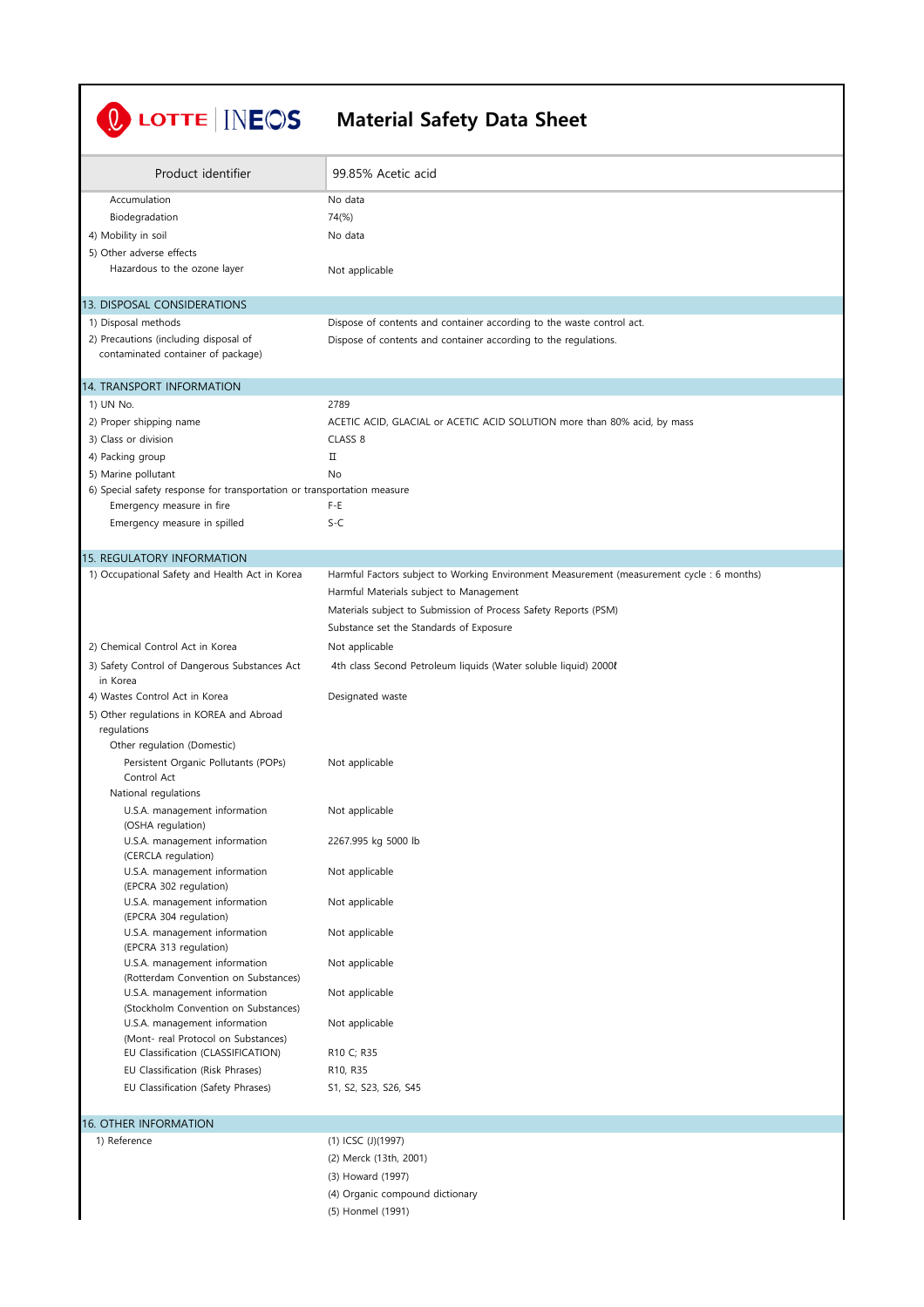| LOTTE <b>INEOS</b>                                                                             | <b>Material Safety Data Sheet</b>                                                         |
|------------------------------------------------------------------------------------------------|-------------------------------------------------------------------------------------------|
| Product identifier                                                                             | 99.85% Acetic acid                                                                        |
| Accumulation                                                                                   | No data                                                                                   |
| Biodegradation                                                                                 | 74(%)                                                                                     |
| 4) Mobility in soil                                                                            | No data                                                                                   |
| 5) Other adverse effects                                                                       |                                                                                           |
| Hazardous to the ozone layer                                                                   | Not applicable                                                                            |
| 13. DISPOSAL CONSIDERATIONS                                                                    |                                                                                           |
| 1) Disposal methods                                                                            | Dispose of contents and container according to the waste control act.                     |
| 2) Precautions (including disposal of<br>contaminated container of package)                    | Dispose of contents and container according to the regulations.                           |
| 14. TRANSPORT INFORMATION                                                                      |                                                                                           |
| 1) UN No.                                                                                      | 2789                                                                                      |
| 2) Proper shipping name                                                                        | ACETIC ACID, GLACIAL or ACETIC ACID SOLUTION more than 80% acid, by mass                  |
| 3) Class or division                                                                           | CLASS <sub>8</sub><br>П                                                                   |
| 4) Packing group                                                                               |                                                                                           |
| 5) Marine pollutant<br>6) Special safety response for transportation or transportation measure | No                                                                                        |
| Emergency measure in fire                                                                      | F-E                                                                                       |
| Emergency measure in spilled                                                                   | $S-C$                                                                                     |
| 15. REGULATORY INFORMATION                                                                     |                                                                                           |
| 1) Occupational Safety and Health Act in Korea                                                 | Harmful Factors subject to Working Environment Measurement (measurement cycle : 6 months) |
|                                                                                                | Harmful Materials subject to Management                                                   |
|                                                                                                | Materials subject to Submission of Process Safety Reports (PSM)                           |
|                                                                                                | Substance set the Standards of Exposure                                                   |
| 2) Chemical Control Act in Korea                                                               | Not applicable                                                                            |
| 3) Safety Control of Dangerous Substances Act<br>in Korea                                      | 4th class Second Petroleum liquids (Water soluble liquid) 2000                            |
| 4) Wastes Control Act in Korea                                                                 | Designated waste                                                                          |
| 5) Other regulations in KOREA and Abroad<br>regulations                                        |                                                                                           |
| Other regulation (Domestic)                                                                    |                                                                                           |
| Persistent Organic Pollutants (POPs)<br>Control Act                                            | Not applicable                                                                            |
| National regulations                                                                           |                                                                                           |
| U.S.A. management information<br>(OSHA regulation)                                             | Not applicable                                                                            |
| U.S.A. management information<br>(CERCLA regulation)                                           | 2267.995 kg 5000 lb                                                                       |
| U.S.A. management information<br>(EPCRA 302 regulation)                                        | Not applicable                                                                            |
| U.S.A. management information<br>(EPCRA 304 regulation)                                        | Not applicable                                                                            |
| U.S.A. management information<br>(EPCRA 313 regulation)                                        | Not applicable                                                                            |
| U.S.A. management information<br>(Rotterdam Convention on Substances)                          | Not applicable                                                                            |
| U.S.A. management information<br>(Stockholm Convention on Substances)                          | Not applicable                                                                            |
| U.S.A. management information<br>(Mont- real Protocol on Substances)                           | Not applicable                                                                            |
| EU Classification (CLASSIFICATION)                                                             | R10 C; R35                                                                                |
| EU Classification (Risk Phrases)<br>EU Classification (Safety Phrases)                         | R10, R35<br>S1, S2, S23, S26, S45                                                         |
|                                                                                                |                                                                                           |
| <b>16. OTHER INFORMATION</b>                                                                   |                                                                                           |
| 1) Reference                                                                                   | (1) ICSC (J)(1997)                                                                        |
|                                                                                                | (2) Merck (13th, 2001)                                                                    |
|                                                                                                | (3) Howard (1997)                                                                         |
|                                                                                                | (4) Organic compound dictionary                                                           |

(5) Honmel (1991)